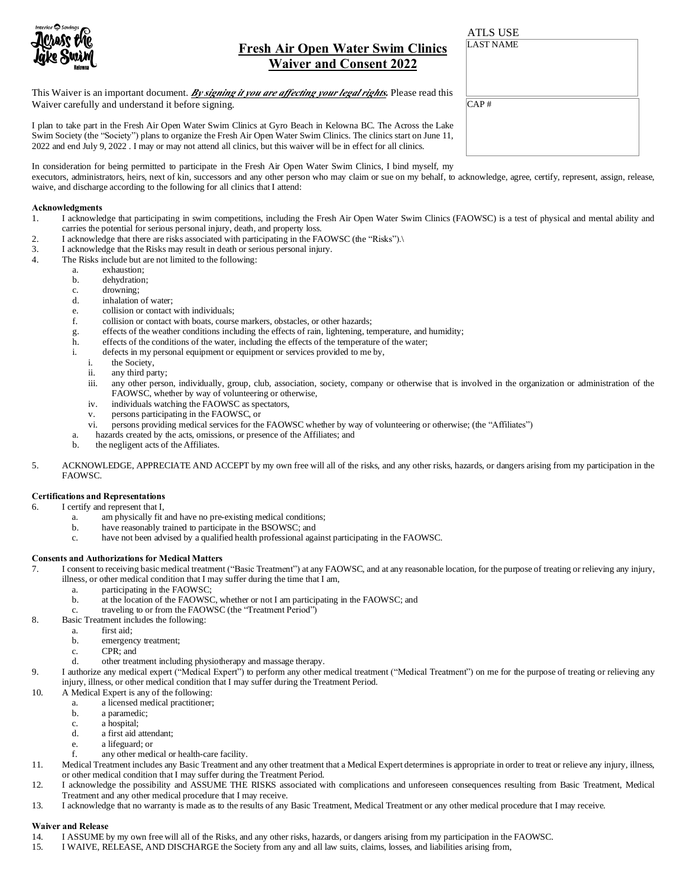

# **Fresh Air Open Water Swim Clinics Waiver and Consent 2022**

This Waiver is an important document. *By signing it you are affecting your legal rights.* Please read this Waiver carefully and understand it before signing.

I plan to take part in the Fresh Air Open Water Swim Clinics at Gyro Beach in Kelowna BC. The Across the Lake Swim Society (the "Society") plans to organize the Fresh Air Open Water Swim Clinics. The clinics start on June 11, 2022 and end July 9, 2022 . I may or may not attend all clinics, but this waiver will be in effect for all clinics.

In consideration for being permitted to participate in the Fresh Air Open Water Swim Clinics, I bind myself, my

executors, administrators, heirs, next of kin, successors and any other person who may claim or sue on my behalf, to acknowledge, agree, certify, represent, assign, release, waive, and discharge according to the following for all clinics that I attend:

#### **Acknowledgments**

- 1. I acknowledge that participating in swim competitions, including the Fresh Air Open Water Swim Clinics (FAOWSC) is a test of physical and mental ability and carries the potential for serious personal injury, death, and property loss.
- 2. I acknowledge that there are risks associated with participating in the FAOWSC (the "Risks"). $\lambda$ <br>3. I acknowledge that the Risks may result in death or serious personal injury.
- I acknowledge that the Risks may result in death or serious personal injury.
- 4. The Risks include but are not limited to the following:
	- a. exhaustion;
	- b. dehydration;
	- c. drowning;
	- d. inhalation of water;
	- e. collision or contact with individuals;
	- f. collision or contact with boats, course markers, obstacles, or other hazards;
	- g. effects of the weather conditions including the effects of rain, lightening, temperature, and humidity;
	- h. effects of the conditions of the water, including the effects of the temperature of the water;
	- i. defects in my personal equipment or equipment or services provided to me by,
		- the Society,
		- ii. any third party;
		- iii. any other person, individually, group, club, association, society, company or otherwise that is involved in the organization or administration of the FAOWSC, whether by way of volunteering or otherwise,
		- iv. individuals watching the FAOWSC as spectators,
		- v. persons participating in the FAOWSC, or
		- vi. persons providing medical services for the FAOWSC whether by way of volunteering or otherwise; (the "Affiliates")
	- a. hazards created by the acts, omissions, or presence of the Affiliates; and
	- b. the negligent acts of the Affiliates.
- 5. ACKNOWLEDGE, APPRECIATE AND ACCEPT by my own free will all of the risks, and any other risks, hazards, or dangers arising from my participation in the FAOWSC.

#### **Certifications and Representations**

- 6. I certify and represent that I,
	- a. am physically fit and have no pre-existing medical conditions;
	- b. have reasonably trained to participate in the BSOWSC; and
	- c. have not been advised by a qualified health professional against participating in the FAOWSC.

#### **Consents and Authorizations for Medical Matters**

- 7. I consent to receiving basic medical treatment ("Basic Treatment") at any FAOWSC, and at any reasonable location, for the purpose of treating or relieving any injury, illness, or other medical condition that I may suffer during the time that I am,
	- a. participating in the FAOWSC;
	- b. at the location of the FAOWSC, whether or not I am participating in the FAOWSC; and
	- c. traveling to or from the FAOWSC (the "Treatment Period")
- 8. Basic Treatment includes the following:
	- a. first aid;
	- b. emergency treatment;
	- c. CPR; and
	- d. other treatment including physiotherapy and massage therapy.
- 9. I authorize any medical expert ("Medical Expert") to perform any other medical treatment ("Medical Treatment") on me for the purpose of treating or relieving any injury, illness, or other medical condition that I may suffer during the Treatment Period.
- 10. A Medical Expert is any of the following:
	- a. a licensed medical practitioner;
	- b. a paramedic;
	- c. a hospital;<br>d. a first aid a
	- a first aid attendant;
	- e. a lifeguard; or
	- f. any other medical or health-care facility.
- 11. Medical Treatment includes any Basic Treatment and any other treatment that a Medical Expert determines is appropriate in order to treat or relieve any injury, illness, or other medical condition that I may suffer during the Treatment Period.
- 12. I acknowledge the possibility and ASSUME THE RISKS associated with complications and unforeseen consequences resulting from Basic Treatment, Medical Treatment and any other medical procedure that I may receive.
- 13. I acknowledge that no warranty is made as to the results of any Basic Treatment, Medical Treatment or any other medical procedure that I may receive.

#### **Waiver and Release**

- 14. I ASSUME by my own free will all of the Risks, and any other risks, hazards, or dangers arising from my participation in the FAOWSC.
- 15. I WAIVE, RELEASE, AND DISCHARGE the Society from any and all law suits, claims, losses, and liabilities arising from,

CAP # LAST NAME ATLS USE